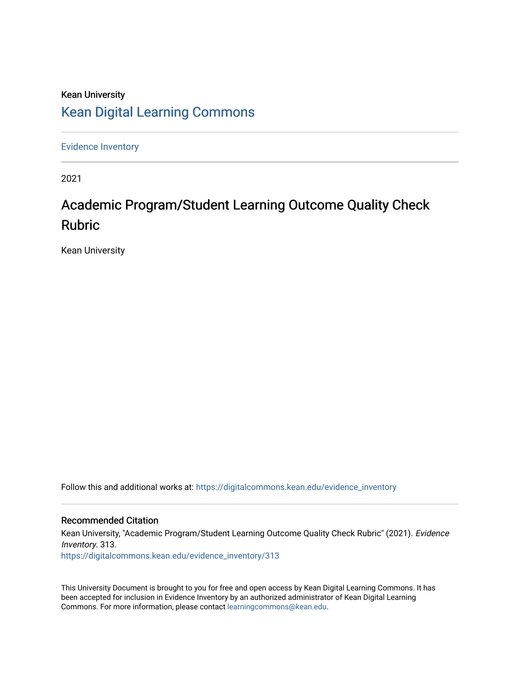## Kean University [Kean Digital Learning Commons](https://digitalcommons.kean.edu/)

[Evidence Inventory](https://digitalcommons.kean.edu/evidence_inventory) 

2021

# Academic Program/Student Learning Outcome Quality Check Rubric

Kean University

Follow this and additional works at: [https://digitalcommons.kean.edu/evidence\\_inventory](https://digitalcommons.kean.edu/evidence_inventory?utm_source=digitalcommons.kean.edu%2Fevidence_inventory%2F313&utm_medium=PDF&utm_campaign=PDFCoverPages)

#### Recommended Citation

Kean University, "Academic Program/Student Learning Outcome Quality Check Rubric" (2021). Evidence Inventory. 313. [https://digitalcommons.kean.edu/evidence\\_inventory/313](https://digitalcommons.kean.edu/evidence_inventory/313?utm_source=digitalcommons.kean.edu%2Fevidence_inventory%2F313&utm_medium=PDF&utm_campaign=PDFCoverPages)

This University Document is brought to you for free and open access by Kean Digital Learning Commons. It has been accepted for inclusion in Evidence Inventory by an authorized administrator of Kean Digital Learning Commons. For more information, please contact [learningcommons@kean.edu.](mailto:learningcommons@kean.edu)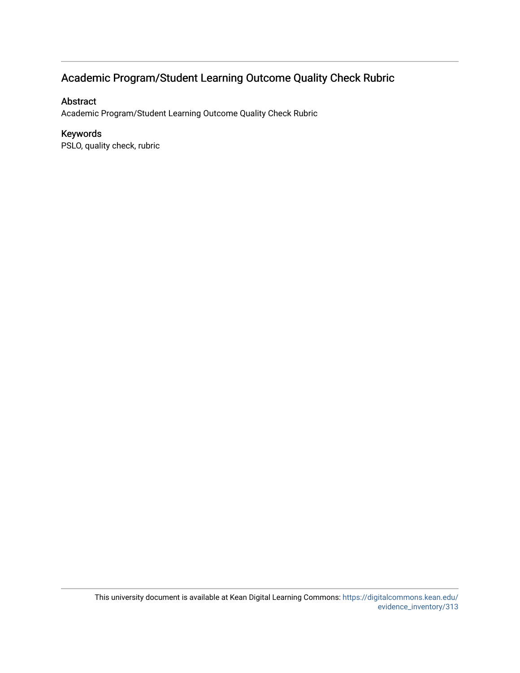### Academic Program/Student Learning Outcome Quality Check Rubric

#### Abstract

Academic Program/Student Learning Outcome Quality Check Rubric

#### Keywords

PSLO, quality check, rubric